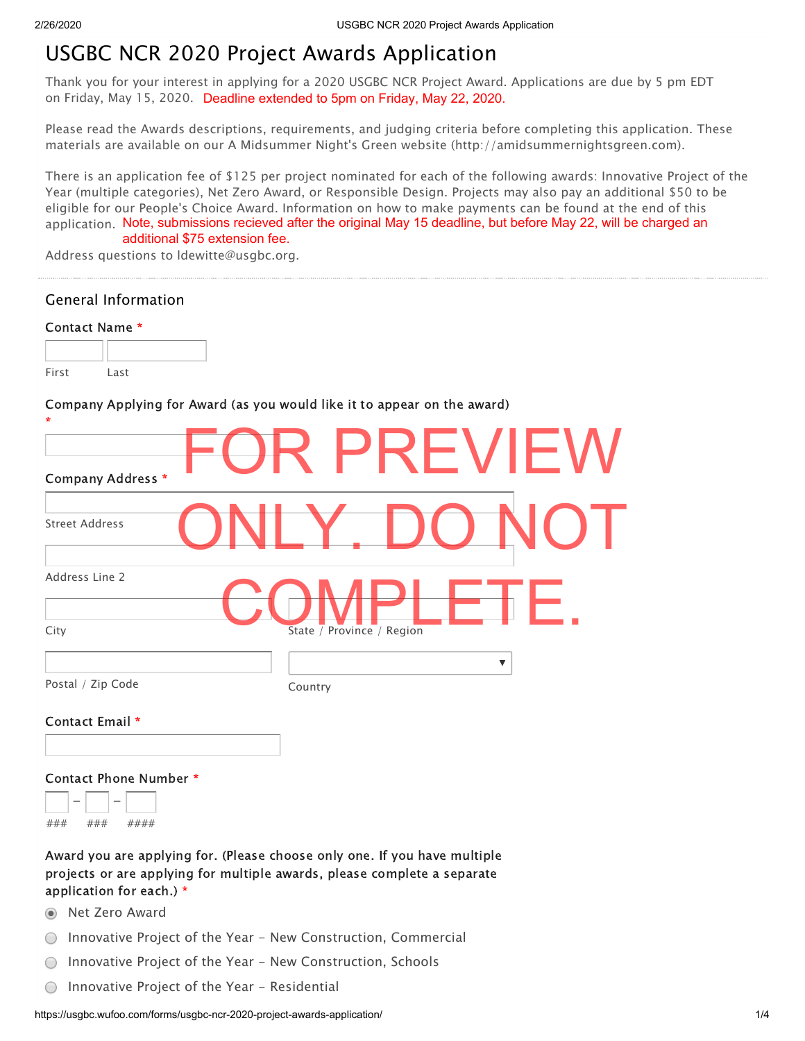# USGBC NCR 2020 Project Awards Application

Thank you for your interest in applying for a 2020 USGBC NCR Project Award. Applications are due by 5 pm EDT on Friday, May 15, 2020. Deadline extended to 5pm on Friday, May 22, 2020.

Please read the Awards descriptions, requirements, and judging criteria before completing this application. These materials are available on our A Midsummer Night's Green website (http://amidsummernightsgreen.com).

There is an application fee of \$125 per project nominated for each of the following awards: Innovative Project of the Year (multiple categories), Net Zero Award, or Responsible Design. Projects may also pay an additional \$50 to be eligible for our People's Choice Award. Information on how to make payments can be found at the end of this application. Note, submissions recieved after the original May 15 deadline, but before May 22, will be charged an additional \$75 extension fee.

Address questions to ldewitte@usgbc.org.

| Address questions to idewitte@usgbc.org.                                                             |  |
|------------------------------------------------------------------------------------------------------|--|
| <b>General Information</b>                                                                           |  |
| Contact Name *                                                                                       |  |
|                                                                                                      |  |
| First<br>Last                                                                                        |  |
| Company Applying for Award (as you would like it to appear on the award)                             |  |
|                                                                                                      |  |
| PREVIEW                                                                                              |  |
| Company Address *                                                                                    |  |
| <b>Street Address</b>                                                                                |  |
|                                                                                                      |  |
| Address Line 2                                                                                       |  |
|                                                                                                      |  |
| City<br>State $\overline{ }$ Province / Region                                                       |  |
| $\blacktriangledown$                                                                                 |  |
| Postal / Zip Code<br>Country                                                                         |  |
| Contact Email *                                                                                      |  |
|                                                                                                      |  |
| Contact Phone Number *                                                                               |  |
|                                                                                                      |  |
| ###<br>###<br>####                                                                                   |  |
| Award you are applying for. (Please choose only one. If you have multiple                            |  |
| projects or are applying for multiple awards, please complete a separate<br>application for each.) * |  |
| Net Zero Award<br>$\odot$                                                                            |  |
| Innovative Project of the Year - New Construction, Commercial<br>0                                   |  |
| Innovative Project of the Year - New Construction, Schools<br>$\bigcirc$                             |  |
| Innovative Project of the Year - Residential<br>O                                                    |  |
|                                                                                                      |  |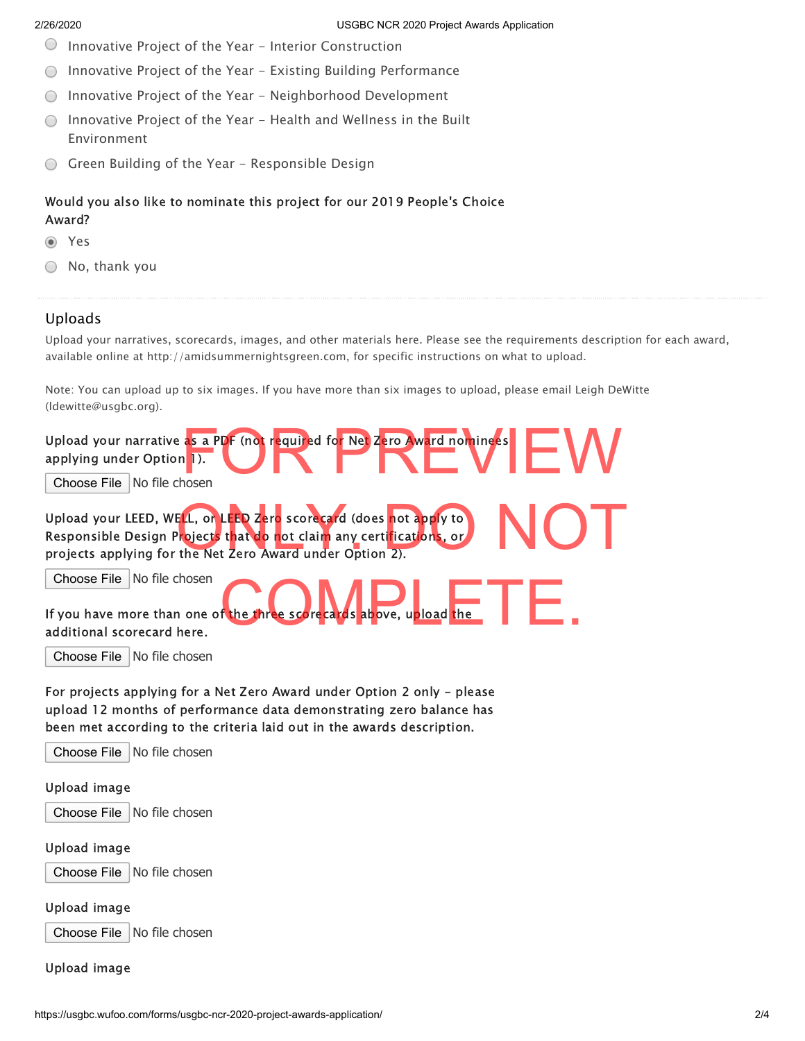- $\bigcirc$ Innovative Project of the Year - Interior Construction
- Innovative Project of the Year Existing Building Performance  $\bigcirc$
- Innovative Project of the Year Neighborhood Development
- $\bigcirc$  Innovative Project of the Year Health and Wellness in the Built Environment
- Green Building of the Year Responsible Design

# Would you also like to nominate this project for our 2019 People's Choice Award?

#### Yes

 $\bigcirc$  No, thank you

# Uploads

Upload your narratives, scorecards, images, and other materials here. Please see the requirements description for each award, available online at http://amidsummernightsgreen.com, for specific instructions on what to upload.

Note: You can upload up to six images. If you have more than six images to upload, please email Leigh DeWitte (ldewitte@usgbc.org).

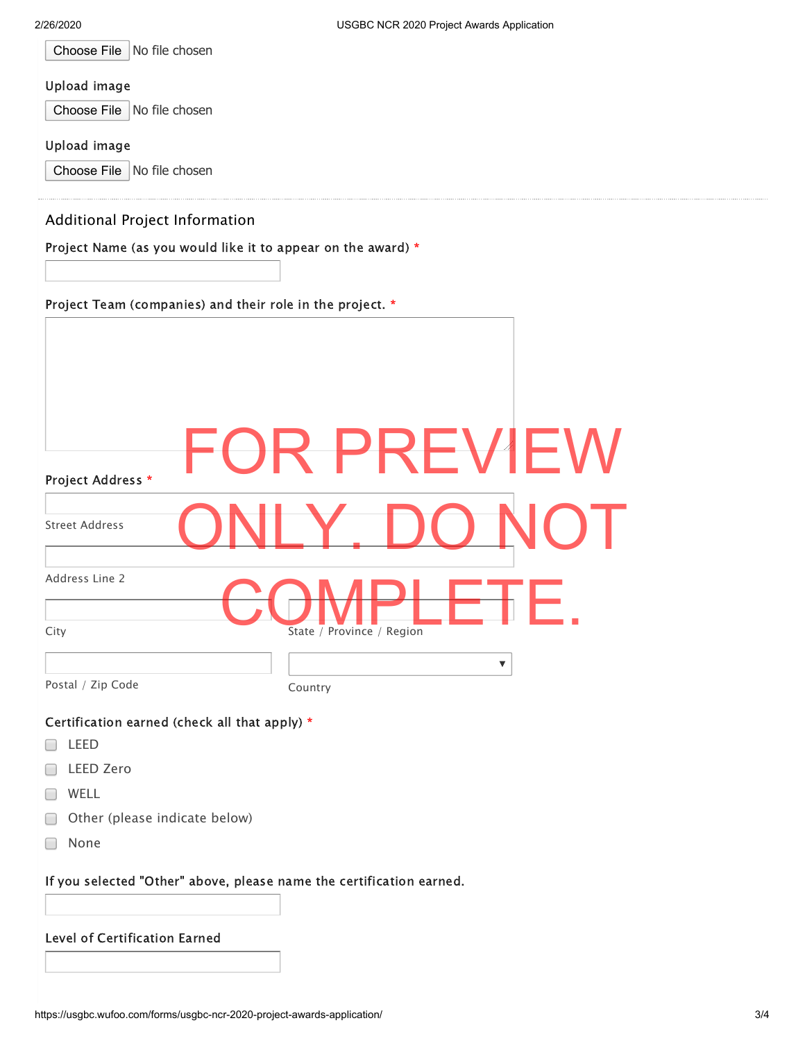|  | Choose File   No file chosen |
|--|------------------------------|
|--|------------------------------|

#### Upload image

Choose File No file chosen

### Upload image

Choose File No file chosen

## Additional Project Information

Project Name (as you would like it to appear on the award) \*

Project Team (companies) and their role in the project. \*

| Project Address *                                                    | FVIEV<br>PRI                       |  |
|----------------------------------------------------------------------|------------------------------------|--|
| <b>Street Address</b>                                                |                                    |  |
| Address Line 2                                                       |                                    |  |
| City                                                                 | State / Province / Region          |  |
| Postal / Zip Code                                                    | $\overline{\mathbf{v}}$<br>Country |  |
| Certification earned (check all that apply) *                        |                                    |  |
| LEED                                                                 |                                    |  |
| <b>LEED Zero</b>                                                     |                                    |  |
| WELL                                                                 |                                    |  |
| Other (please indicate below)                                        |                                    |  |
| None                                                                 |                                    |  |
| If you selected "Other" above, please name the certification earned. |                                    |  |
| Level of Certification Earned                                        |                                    |  |